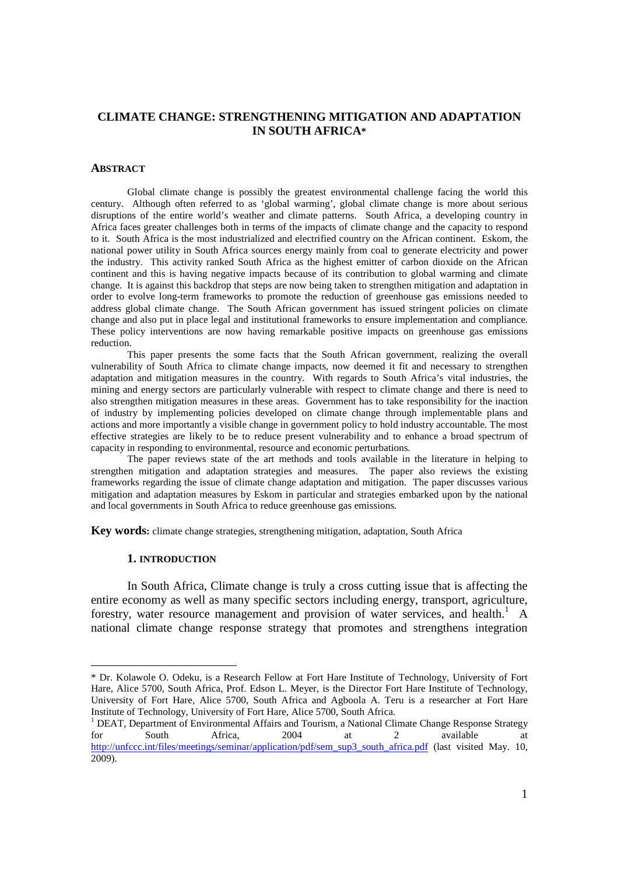# **CLIMATE CHANGE: STRENGTHENING MITIGATION AND ADAPTATION IN SOUTH AFRICA\***

#### **ABSTRACT**

Global climate change is possibly the greatest environmental challenge facing the world this century. Although often referred to as 'global warming', global climate change is more about serious disruptions of the entire world's weather and climate patterns. South Africa, a developing country in Africa faces greater challenges both in terms of the impacts of climate change and the capacity to respond to it. South Africa is the most industrialized and electrified country on the African continent. Eskom, the national power utility in South Africa sources energy mainly from coal to generate electricity and power the industry. This activity ranked South Africa as the highest emitter of carbon dioxide on the African continent and this is having negative impacts because of its contribution to global warming and climate change. It is against this backdrop that steps are now being taken to strengthen mitigation and adaptation in order to evolve long-term frameworks to promote the reduction of greenhouse gas emissions needed to address global climate change. The South African government has issued stringent policies on climate change and also put in place legal and institutional frameworks to ensure implementation and compliance. These policy interventions are now having remarkable positive impacts on greenhouse gas emissions reduction.

This paper presents the some facts that the South African government, realizing the overall vulnerability of South Africa to climate change impacts, now deemed it fit and necessary to strengthen adaptation and mitigation measures in the country. With regards to South Africa's vital industries, the mining and energy sectors are particularly vulnerable with respect to climate change and there is need to also strengthen mitigation measures in these areas. Government has to take responsibility for the inaction of industry by implementing policies developed on climate change through implementable plans and actions and more importantly a visible change in government policy to hold industry accountable. The most effective strategies are likely to be to reduce present vulnerability and to enhance a broad spectrum of capacity in responding to environmental, resource and economic perturbations.

The paper reviews state of the art methods and tools available in the literature in helping to strengthen mitigation and adaptation strategies and measures. The paper also reviews the existing frameworks regarding the issue of climate change adaptation and mitigation. The paper discusses various mitigation and adaptation measures by Eskom in particular and strategies embarked upon by the national and local governments in South Africa to reduce greenhouse gas emissions.

**Key words:** climate change strategies, strengthening mitigation, adaptation, South Africa

#### **1. INTRODUCTION**

-

In South Africa, Climate change is truly a cross cutting issue that is affecting the entire economy as well as many specific sectors including energy, transport, agriculture, forestry, water resource management and provision of water services, and health.<sup>1</sup> A national climate change response strategy that promotes and strengthens integration

<sup>\*</sup> Dr. Kolawole O. Odeku, is a Research Fellow at Fort Hare Institute of Technology, University of Fort Hare, Alice 5700, South Africa, Prof. Edson L. Meyer, is the Director Fort Hare Institute of Technology, University of Fort Hare, Alice 5700, South Africa and Agboola A. Teru is a researcher at Fort Hare Institute of Technology, University of Fort Hare, Alice 5700, South Africa.

<sup>&</sup>lt;sup>1</sup> DEAT, Department of Environmental Affairs and Tourism, a National Climate Change Response Strategy for South Africa, 2004 at 2 available at http://unfccc.int/files/meetings/seminar/application/pdf/sem\_sup3\_south\_africa.pdf (last visited May. 10, 2009).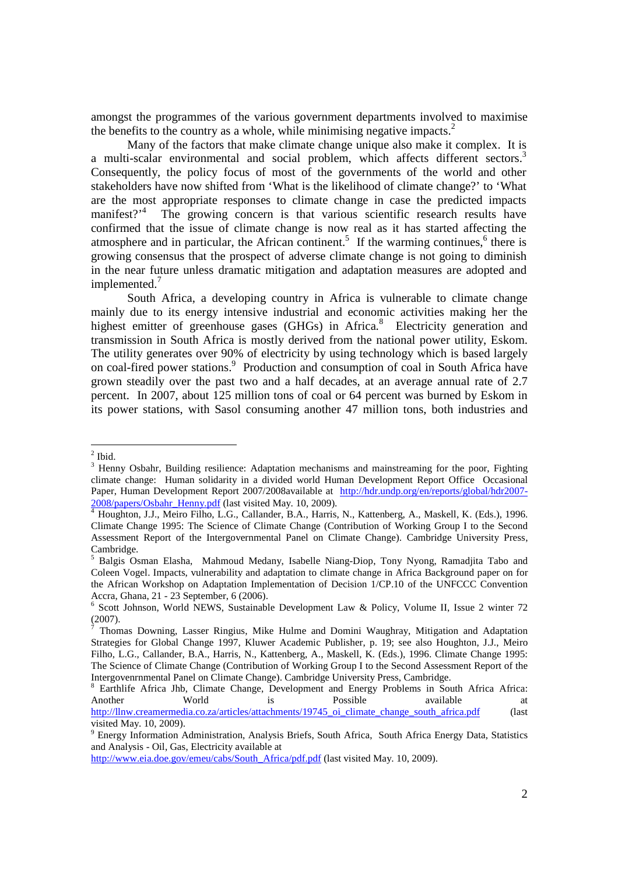amongst the programmes of the various government departments involved to maximise the benefits to the country as a whole, while minimising negative impacts.<sup>2</sup>

Many of the factors that make climate change unique also make it complex. It is a multi-scalar environmental and social problem, which affects different sectors.<sup>3</sup> Consequently, the policy focus of most of the governments of the world and other stakeholders have now shifted from 'What is the likelihood of climate change?' to 'What are the most appropriate responses to climate change in case the predicted impacts manifest?<sup>4</sup> The growing concern is that various scientific research results have confirmed that the issue of climate change is now real as it has started affecting the atmosphere and in particular, the African continent.<sup>5</sup> If the warming continues,  $6$  there is growing consensus that the prospect of adverse climate change is not going to diminish in the near future unless dramatic mitigation and adaptation measures are adopted and implemented.<sup>7</sup>

South Africa, a developing country in Africa is vulnerable to climate change mainly due to its energy intensive industrial and economic activities making her the highest emitter of greenhouse gases (GHGs) in Africa.<sup>8</sup> Electricity generation and transmission in South Africa is mostly derived from the national power utility, Eskom. The utility generates over 90% of electricity by using technology which is based largely on coal-fired power stations.<sup>9</sup> Production and consumption of coal in South Africa have grown steadily over the past two and a half decades, at an average annual rate of 2.7 percent. In 2007, about 125 million tons of coal or 64 percent was burned by Eskom in its power stations, with Sasol consuming another 47 million tons, both industries and

 $\frac{1}{2}$  Ibid.

<sup>&</sup>lt;sup>3</sup> Henny Osbahr, Building resilience: Adaptation mechanisms and mainstreaming for the poor, Fighting climate change: Human solidarity in a divided world Human Development Report Office Occasional Paper, Human Development Report 2007/2008available at http://hdr.undp.org/en/reports/global/hdr2007- 2008/papers/Osbahr\_Henny.pdf (last visited May. 10, 2009).

<sup>&</sup>lt;sup>4</sup> Houghton, J.J., Meiro Filho, L.G., Callander, B.A., Harris, N., Kattenberg, A., Maskell, K. (Eds.), 1996. Climate Change 1995: The Science of Climate Change (Contribution of Working Group I to the Second Assessment Report of the Intergovernmental Panel on Climate Change). Cambridge University Press, Cambridge.

<sup>5</sup> Balgis Osman Elasha, Mahmoud Medany, Isabelle Niang-Diop, Tony Nyong, Ramadjita Tabo and Coleen Vogel. Impacts, vulnerability and adaptation to climate change in Africa Background paper on for the African Workshop on Adaptation Implementation of Decision 1/CP.10 of the UNFCCC Convention Accra, Ghana, 21 - 23 September, 6 (2006).

<sup>6</sup> Scott Johnson, World NEWS, Sustainable Development Law & Policy, Volume II, Issue 2 winter 72 (2007).

<sup>7</sup> Thomas Downing, Lasser Ringius, Mike Hulme and Domini Waughray, Mitigation and Adaptation Strategies for Global Change 1997, Kluwer Academic Publisher, p. 19; see also Houghton, J.J., Meiro Filho, L.G., Callander, B.A., Harris, N., Kattenberg, A., Maskell, K. (Eds.), 1996. Climate Change 1995: The Science of Climate Change (Contribution of Working Group I to the Second Assessment Report of the Intergovenrnmental Panel on Climate Change). Cambridge University Press, Cambridge.

<sup>&</sup>lt;sup>8</sup> Earthlife Africa Jhb, Climate Change, Development and Energy Problems in South Africa Africa: Another World is Possible available at http://llnw.creamermedia.co.za/articles/attachments/19745\_oi\_climate\_change\_south\_africa.pdf (last

visited May. 10, 2009). <sup>9</sup> Energy Information Administration, Analysis Briefs, South Africa, South Africa Energy Data, Statistics and Analysis - Oil, Gas, Electricity available at

http://www.eia.doe.gov/emeu/cabs/South\_Africa/pdf.pdf (last visited May. 10, 2009).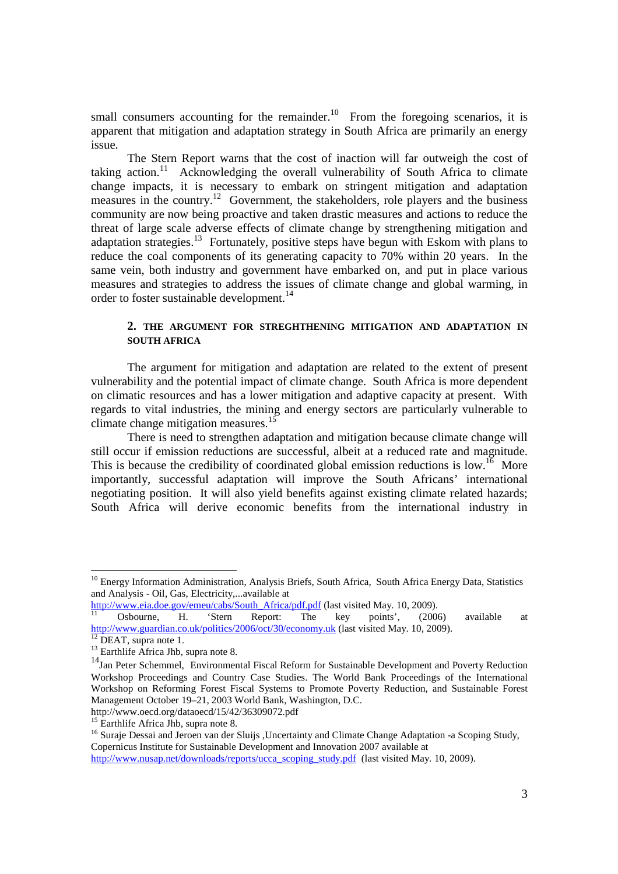small consumers accounting for the remainder.<sup>10</sup> From the foregoing scenarios, it is apparent that mitigation and adaptation strategy in South Africa are primarily an energy issue.

The Stern Report warns that the cost of inaction will far outweigh the cost of taking action.<sup>11</sup> Acknowledging the overall vulnerability of South Africa to climate change impacts, it is necessary to embark on stringent mitigation and adaptation measures in the country.<sup>12</sup> Government, the stakeholders, role players and the business community are now being proactive and taken drastic measures and actions to reduce the threat of large scale adverse effects of climate change by strengthening mitigation and adaptation strategies.<sup>13</sup> Fortunately, positive steps have begun with Eskom with plans to reduce the coal components of its generating capacity to 70% within 20 years. In the same vein, both industry and government have embarked on, and put in place various measures and strategies to address the issues of climate change and global warming, in order to foster sustainable development.<sup>14</sup>

# **2. THE ARGUMENT FOR STREGHTHENING MITIGATION AND ADAPTATION IN SOUTH AFRICA**

The argument for mitigation and adaptation are related to the extent of present vulnerability and the potential impact of climate change. South Africa is more dependent on climatic resources and has a lower mitigation and adaptive capacity at present. With regards to vital industries, the mining and energy sectors are particularly vulnerable to climate change mitigation measures.<sup>15</sup>

There is need to strengthen adaptation and mitigation because climate change will still occur if emission reductions are successful, albeit at a reduced rate and magnitude. This is because the credibility of coordinated global emission reductions is low.<sup>16</sup> More importantly, successful adaptation will improve the South Africans' international negotiating position. It will also yield benefits against existing climate related hazards; South Africa will derive economic benefits from the international industry in

<sup>&</sup>lt;sup>10</sup> Energy Information Administration, Analysis Briefs, South Africa, South Africa Energy Data, Statistics and Analysis - Oil, Gas, Electricity,...available at

http://www.eia.doe.gov/emeu/cabs/South\_Africa/pdf.pdf (last visited May. 10, 2009).

<sup>&</sup>lt;sup>11</sup> Osbourne, H. 'Stern Report: The key points', (2006) available at http://www.guardian.co.uk/politics/2006/oct/30/economy.uk (last visited May. 10, 2009).

 $12$  DEAT, supra note 1.

<sup>&</sup>lt;sup>13</sup> Earthlife Africa Jhb, supra note 8.

<sup>&</sup>lt;sup>14</sup>Jan Peter Schemmel, Environmental Fiscal Reform for Sustainable Development and Poverty Reduction Workshop Proceedings and Country Case Studies. The World Bank Proceedings of the International Workshop on Reforming Forest Fiscal Systems to Promote Poverty Reduction, and Sustainable Forest Management October 19–21, 2003 World Bank, Washington, D.C.

http://www.oecd.org/dataoecd/15/42/36309072.pdf

<sup>&</sup>lt;sup>15</sup> Earthlife Africa Jhb, supra note 8.

<sup>&</sup>lt;sup>16</sup> Suraje Dessai and Jeroen van der Sluijs ,Uncertainty and Climate Change Adaptation -a Scoping Study, Copernicus Institute for Sustainable Development and Innovation 2007 available at

http://www.nusap.net/downloads/reports/ucca\_scoping\_study.pdf (last visited May. 10, 2009).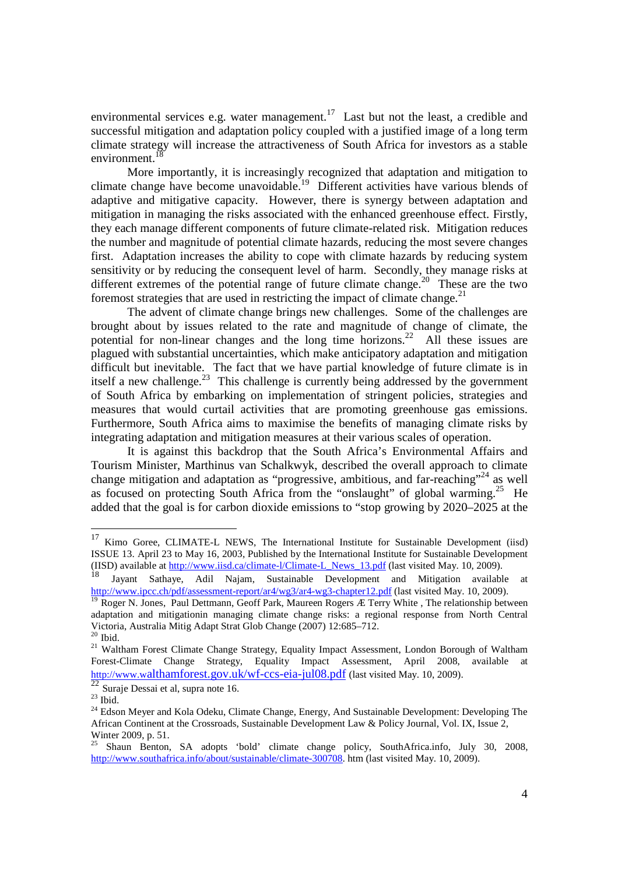environmental services e.g. water management.<sup>17</sup> Last but not the least, a credible and successful mitigation and adaptation policy coupled with a justified image of a long term climate strategy will increase the attractiveness of South Africa for investors as a stable environment.<sup>18</sup>

More importantly, it is increasingly recognized that adaptation and mitigation to climate change have become unavoidable.<sup>19</sup> Different activities have various blends of adaptive and mitigative capacity. However, there is synergy between adaptation and mitigation in managing the risks associated with the enhanced greenhouse effect. Firstly, they each manage different components of future climate-related risk. Mitigation reduces the number and magnitude of potential climate hazards, reducing the most severe changes first. Adaptation increases the ability to cope with climate hazards by reducing system sensitivity or by reducing the consequent level of harm. Secondly, they manage risks at different extremes of the potential range of future climate change.<sup>20</sup> These are the two foremost strategies that are used in restricting the impact of climate change. $^{21}$ 

The advent of climate change brings new challenges. Some of the challenges are brought about by issues related to the rate and magnitude of change of climate, the potential for non-linear changes and the long time horizons.<sup>22</sup> All these issues are plagued with substantial uncertainties, which make anticipatory adaptation and mitigation difficult but inevitable. The fact that we have partial knowledge of future climate is in itself a new challenge.<sup>23</sup> This challenge is currently being addressed by the government of South Africa by embarking on implementation of stringent policies, strategies and measures that would curtail activities that are promoting greenhouse gas emissions. Furthermore, South Africa aims to maximise the benefits of managing climate risks by integrating adaptation and mitigation measures at their various scales of operation.

It is against this backdrop that the South Africa's Environmental Affairs and Tourism Minister, Marthinus van Schalkwyk, described the overall approach to climate change mitigation and adaptation as "progressive, ambitious, and far-reaching"<sup>24</sup> as well as focused on protecting South Africa from the "onslaught" of global warming.<sup>25</sup> He added that the goal is for carbon dioxide emissions to "stop growing by 2020–2025 at the

<sup>&</sup>lt;sup>17</sup> Kimo Goree, CLIMATE-L NEWS, The International Institute for Sustainable Development (iisd) ISSUE 13. April 23 to May 16, 2003, Published by the International Institute for Sustainable Development (IISD) available at  $\frac{http://www.iisd.ca/climate-1/Climate-L_News_13.pdf}{http://www.iisd.ca/climate-1/Climate-L_News_13.pdf}$  (last visited May. 10, 2009).

<sup>18</sup> Jayant Sathaye, Adil Najam, Sustainable Development and Mitigation available at http://www.ipcc.ch/pdf/assessment-report/ar4/wg3/ar4-wg3-chapter12.pdf (last visited May. 10, 2009).

<sup>&</sup>lt;sup>19</sup> Roger N. Jones, Paul Dettmann, Geoff Park, Maureen Rogers Æ Terry White, The relationship between adaptation and mitigationin managing climate change risks: a regional response from North Central Victoria, Australia Mitig Adapt Strat Glob Change (2007) 12:685–712.  $20$  Ibid.

<sup>&</sup>lt;sup>21</sup> Waltham Forest Climate Change Strategy, Equality Impact Assessment, London Borough of Waltham Forest-Climate Change Strategy, Equality Impact Assessment, April 2008, available at http://www.walthamforest.gov.uk/wf-ccs-eia-jul08.pdf (last visited May. 10, 2009).

 $\overline{\text{22} \text{Suraje}}$  Dessai et al, supra note 16.

 $^{23}$  Ibid.

<sup>&</sup>lt;sup>24</sup> Edson Meyer and Kola Odeku, Climate Change, Energy, And Sustainable Development: Developing The African Continent at the Crossroads, Sustainable Development Law & Policy Journal, Vol. IX, Issue 2, Winter 2009, p. 51.

whiter  $200\%$ ,  $p. 31$ .<br><sup>25</sup> Shaun Benton, SA adopts 'bold' climate change policy, SouthAfrica.info, July 30, 2008, http://www.southafrica.info/about/sustainable/climate-300708. htm (last visited May. 10, 2009).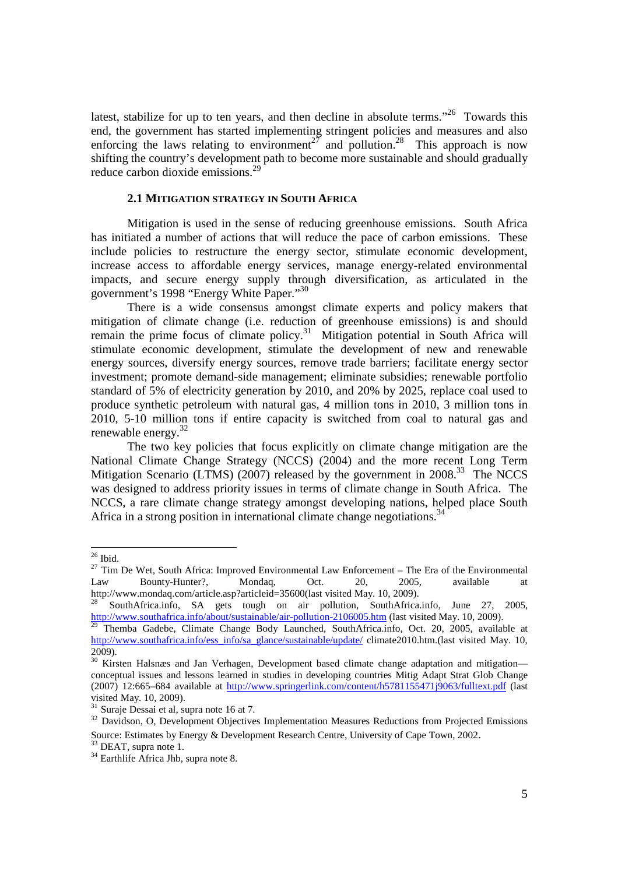latest, stabilize for up to ten years, and then decline in absolute terms."<sup>26</sup> Towards this end, the government has started implementing stringent policies and measures and also enforcing the laws relating to environment<sup>27</sup> and pollution.<sup>28</sup> This approach is now shifting the country's development path to become more sustainable and should gradually reduce carbon dioxide emissions.<sup>29</sup>

# **2.1 MITIGATION STRATEGY IN SOUTH AFRICA**

Mitigation is used in the sense of reducing greenhouse emissions. South Africa has initiated a number of actions that will reduce the pace of carbon emissions. These include policies to restructure the energy sector, stimulate economic development, increase access to affordable energy services, manage energy-related environmental impacts, and secure energy supply through diversification, as articulated in the government's 1998 "Energy White Paper."<sup>30</sup>

There is a wide consensus amongst climate experts and policy makers that mitigation of climate change (i.e. reduction of greenhouse emissions) is and should remain the prime focus of climate policy.<sup>31</sup> Mitigation potential in South Africa will stimulate economic development, stimulate the development of new and renewable energy sources, diversify energy sources, remove trade barriers; facilitate energy sector investment; promote demand-side management; eliminate subsidies; renewable portfolio standard of 5% of electricity generation by 2010, and 20% by 2025, replace coal used to produce synthetic petroleum with natural gas, 4 million tons in 2010, 3 million tons in 2010, 5-10 million tons if entire capacity is switched from coal to natural gas and renewable energy.<sup>32</sup>

The two key policies that focus explicitly on climate change mitigation are the National Climate Change Strategy (NCCS) (2004) and the more recent Long Term Mitigation Scenario (LTMS) (2007) released by the government in  $2008$ <sup>33</sup>. The NCCS was designed to address priority issues in terms of climate change in South Africa. The NCCS, a rare climate change strategy amongst developing nations, helped place South Africa in a strong position in international climate change negotiations.<sup>34</sup>

 $26$  Ibid.

 $27$  Tim De Wet, South Africa: Improved Environmental Law Enforcement – The Era of the Environmental Law Bounty-Hunter?, Mondaq, Oct. 20, 2005, available at http://www.mondaq.com/article.asp?articleid=35600(last visited May. 10, 2009).

<sup>28</sup> SouthAfrica.info, SA gets tough on air pollution, SouthAfrica.info, June 27, 2005, http://www.southafrica.info/about/sustainable/air-pollution-2106005.htm (last visited May. 10, 2009).

 $29$  Themba Gadebe, Climate Change Body Launched, SouthAfrica.info, Oct. 20, 2005, available at http://www.southafrica.info/ess\_info/sa\_glance/sustainable/update/ climate2010.htm.(last visited May. 10, 2009).

<sup>&</sup>lt;sup>30</sup> Kirsten Halsnæs and Jan Verhagen, Development based climate change adaptation and mitigationconceptual issues and lessons learned in studies in developing countries Mitig Adapt Strat Glob Change (2007) 12:665–684 available at http://www.springerlink.com/content/h5781155471j9063/fulltext.pdf (last visited May. 10, 2009).

 $31$  Suraje Dessai et al, supra note 16 at 7.

<sup>&</sup>lt;sup>32</sup> Davidson, O, Development Objectives Implementation Measures Reductions from Projected Emissions Source: Estimates by Energy & Development Research Centre, University of Cape Town, 2002.

<sup>&</sup>lt;sup>33</sup> DEAT, supra note 1.

<sup>&</sup>lt;sup>34</sup> Earthlife Africa Jhb, supra note 8.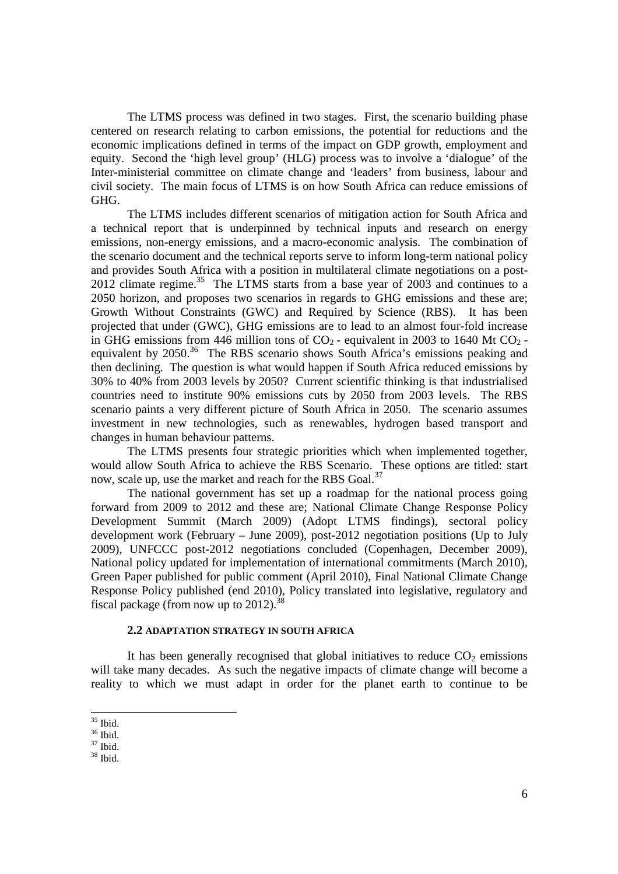The LTMS process was defined in two stages. First, the scenario building phase centered on research relating to carbon emissions, the potential for reductions and the economic implications defined in terms of the impact on GDP growth, employment and equity. Second the 'high level group' (HLG) process was to involve a 'dialogue' of the Inter-ministerial committee on climate change and 'leaders' from business, labour and civil society. The main focus of LTMS is on how South Africa can reduce emissions of GHG.

The LTMS includes different scenarios of mitigation action for South Africa and a technical report that is underpinned by technical inputs and research on energy emissions, non-energy emissions, and a macro-economic analysis. The combination of the scenario document and the technical reports serve to inform long-term national policy and provides South Africa with a position in multilateral climate negotiations on a post- $2012$  climate regime.<sup>35</sup> The LTMS starts from a base year of  $2003$  and continues to a 2050 horizon, and proposes two scenarios in regards to GHG emissions and these are; Growth Without Constraints (GWC) and Required by Science (RBS). It has been projected that under (GWC), GHG emissions are to lead to an almost four-fold increase in GHG emissions from 446 million tons of  $CO<sub>2</sub>$  - equivalent in 2003 to 1640 Mt  $CO<sub>2</sub>$  equivalent by 2050.<sup>36</sup> The RBS scenario shows South Africa's emissions peaking and then declining. The question is what would happen if South Africa reduced emissions by 30% to 40% from 2003 levels by 2050? Current scientific thinking is that industrialised countries need to institute 90% emissions cuts by 2050 from 2003 levels. The RBS scenario paints a very different picture of South Africa in 2050. The scenario assumes investment in new technologies, such as renewables, hydrogen based transport and changes in human behaviour patterns.

The LTMS presents four strategic priorities which when implemented together, would allow South Africa to achieve the RBS Scenario. These options are titled: start now, scale up, use the market and reach for the RBS Goal.<sup>37</sup>

The national government has set up a roadmap for the national process going forward from 2009 to 2012 and these are; National Climate Change Response Policy Development Summit (March 2009) (Adopt LTMS findings), sectoral policy development work (February – June 2009), post-2012 negotiation positions (Up to July 2009), UNFCCC post-2012 negotiations concluded (Copenhagen, December 2009), National policy updated for implementation of international commitments (March 2010), Green Paper published for public comment (April 2010), Final National Climate Change Response Policy published (end 2010), Policy translated into legislative, regulatory and fiscal package (from now up to  $2012$ ).<sup>38</sup>

# **2.2 ADAPTATION STRATEGY IN SOUTH AFRICA**

It has been generally recognised that global initiatives to reduce  $CO<sub>2</sub>$  emissions will take many decades. As such the negative impacts of climate change will become a reality to which we must adapt in order for the planet earth to continue to be

<sup>35</sup> Ibid.

<sup>36</sup> Ibid.

 $37$  Ibid.

<sup>38</sup> Ibid.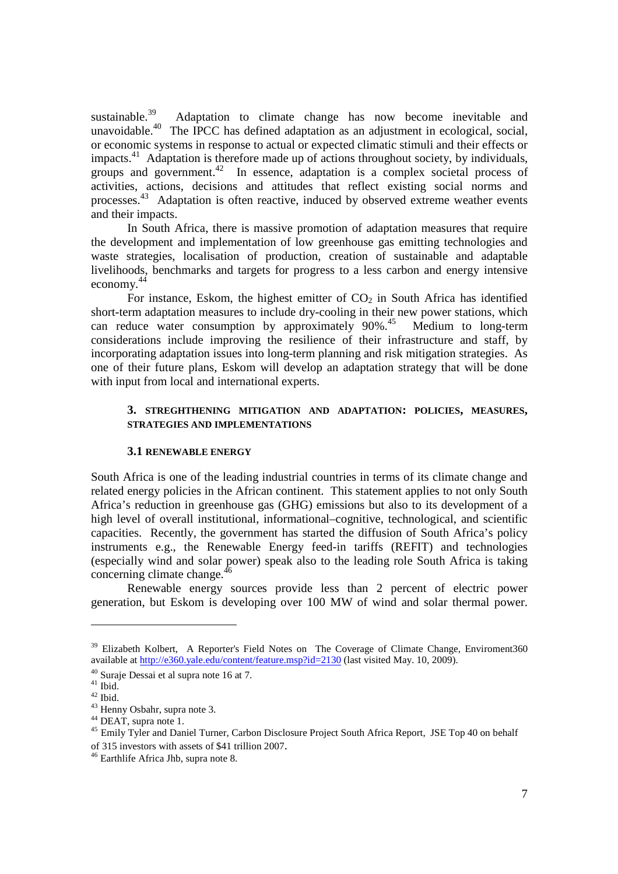sustainable.<sup>39</sup> Adaptation to climate change has now become inevitable and unavoidable.<sup>40</sup> The IPCC has defined adaptation as an adjustment in ecological, social, or economic systems in response to actual or expected climatic stimuli and their effects or impacts.<sup>41</sup> Adaptation is therefore made up of actions throughout society, by individuals, groups and government.<sup> $42$ </sup> In essence, adaptation is a complex societal process of activities, actions, decisions and attitudes that reflect existing social norms and processes.<sup>43</sup> Adaptation is often reactive, induced by observed extreme weather events and their impacts.

In South Africa, there is massive promotion of adaptation measures that require the development and implementation of low greenhouse gas emitting technologies and waste strategies, localisation of production, creation of sustainable and adaptable livelihoods, benchmarks and targets for progress to a less carbon and energy intensive economy. 44

For instance, Eskom, the highest emitter of  $CO<sub>2</sub>$  in South Africa has identified short-term adaptation measures to include dry-cooling in their new power stations, which can reduce water consumption by approximately  $90\%$ .<sup>45</sup> Medium to long-term considerations include improving the resilience of their infrastructure and staff, by incorporating adaptation issues into long-term planning and risk mitigation strategies. As one of their future plans, Eskom will develop an adaptation strategy that will be done with input from local and international experts.

# **3. STREGHTHENING MITIGATION AND ADAPTATION: POLICIES, MEASURES, STRATEGIES AND IMPLEMENTATIONS**

## **3.1 RENEWABLE ENERGY**

South Africa is one of the leading industrial countries in terms of its climate change and related energy policies in the African continent. This statement applies to not only South Africa's reduction in greenhouse gas (GHG) emissions but also to its development of a high level of overall institutional, informational–cognitive, technological, and scientific capacities. Recently, the government has started the diffusion of South Africa's policy instruments e.g., the Renewable Energy feed-in tariffs (REFIT) and technologies (especially wind and solar power) speak also to the leading role South Africa is taking concerning climate change. $^{46}$ 

Renewable energy sources provide less than 2 percent of electric power generation, but Eskom is developing over 100 MW of wind and solar thermal power.

<sup>&</sup>lt;sup>39</sup> Elizabeth Kolbert, A Reporter's Field Notes on The Coverage of Climate Change, Enviroment360 available at http://e360.yale.edu/content/feature.msp?id=2130 (last visited May. 10, 2009).

<sup>40</sup> Suraje Dessai et al supra note 16 at 7.

 $41$  Ibid.

 $42$  Ibid.

<sup>43</sup> Henny Osbahr, supra note 3.

<sup>&</sup>lt;sup>44</sup> DEAT, supra note 1.

<sup>&</sup>lt;sup>45</sup> Emily Tyler and Daniel Turner, Carbon Disclosure Project South Africa Report, JSE Top 40 on behalf of 315 investors with assets of \$41 trillion 2007.

<sup>46</sup> Earthlife Africa Jhb, supra note 8.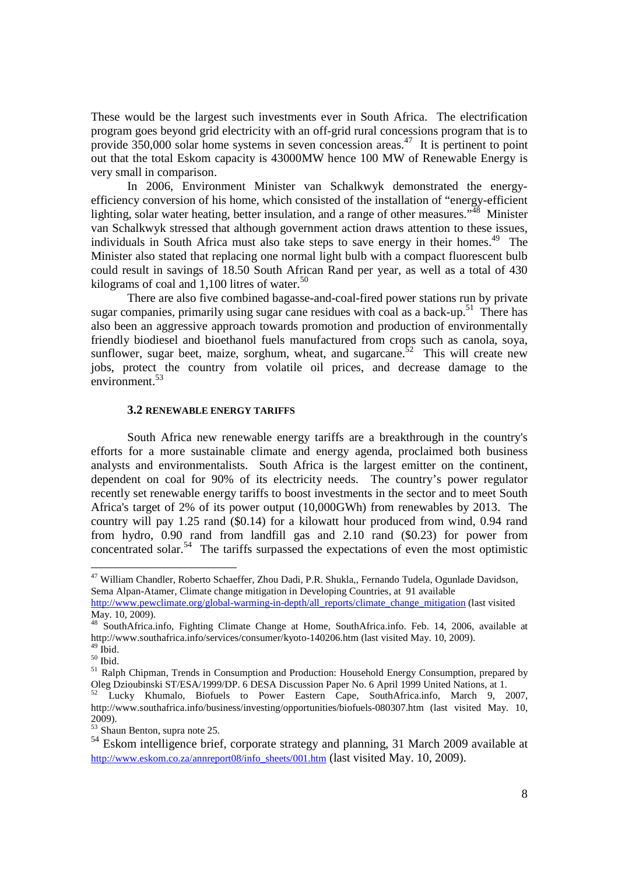These would be the largest such investments ever in South Africa. The electrification program goes beyond grid electricity with an off-grid rural concessions program that is to provide  $350,000$  solar home systems in seven concession areas.<sup>47</sup> It is pertinent to point out that the total Eskom capacity is 43000MW hence 100 MW of Renewable Energy is very small in comparison.

In 2006, Environment Minister van Schalkwyk demonstrated the energyefficiency conversion of his home, which consisted of the installation of "energy-efficient lighting, solar water heating, better insulation, and a range of other measures."<sup>48</sup> Minister van Schalkwyk stressed that although government action draws attention to these issues, individuals in South Africa must also take steps to save energy in their homes.<sup>49</sup> The Minister also stated that replacing one normal light bulb with a compact fluorescent bulb could result in savings of 18.50 South African Rand per year, as well as a total of 430 kilograms of coal and  $1,100$  litres of water.<sup>50</sup>

There are also five combined bagasse-and-coal-fired power stations run by private sugar companies, primarily using sugar cane residues with coal as a back-up.<sup>51</sup> There has also been an aggressive approach towards promotion and production of environmentally friendly biodiesel and bioethanol fuels manufactured from crops such as canola, soya, sunflower, sugar beet, maize, sorghum, wheat, and sugarcane.<sup>52</sup> This will create new jobs, protect the country from volatile oil prices, and decrease damage to the environment.<sup>53</sup>

#### **3.2 RENEWABLE ENERGY TARIFFS**

South Africa new renewable energy tariffs are a breakthrough in the country's efforts for a more sustainable climate and energy agenda, proclaimed both business analysts and environmentalists. South Africa is the largest emitter on the continent, dependent on coal for 90% of its electricity needs. The country's power regulator recently set renewable energy tariffs to boost investments in the sector and to meet South Africa's target of 2% of its power output (10,000GWh) from renewables by 2013. The country will pay 1.25 rand (\$0.14) for a kilowatt hour produced from wind, 0.94 rand from hydro, 0.90 rand from landfill gas and 2.10 rand (\$0.23) for power from concentrated solar.<sup>54</sup> The tariffs surpassed the expectations of even the most optimistic

<sup>&</sup>lt;sup>47</sup> William Chandler, Roberto Schaeffer, Zhou Dadi, P.R. Shukla,, Fernando Tudela, Ogunlade Davidson, Sema Alpan-Atamer, Climate change mitigation in Developing Countries, at 91 available

http://www.pewclimate.org/global-warming-in-depth/all\_reports/climate\_change\_mitigation (last visited May. 10, 2009).

<sup>48</sup> SouthAfrica.info, Fighting Climate Change at Home, SouthAfrica.info. Feb. 14, 2006, available at http://www.southafrica.info/services/consumer/kyoto-140206.htm (last visited May. 10, 2009).  $^{49}$  İbid.

 $^{50}$  Ibid.

<sup>&</sup>lt;sup>51</sup> Ralph Chipman, Trends in Consumption and Production: Household Energy Consumption, prepared by Oleg Dzioubinski ST/ESA/1999/DP. 6 DESA Discussion Paper No. 6 April 1999 United Nations, at 1.

<sup>&</sup>lt;sup>52</sup> Lucky Khumalo, Biofuels to Power Eastern Cape, SouthAfrica.info, March 9, 2007, http://www.southafrica.info/business/investing/opportunities/biofuels-080307.htm (last visited May. 10, 2009).

<sup>53</sup> Shaun Benton, supra note 25.

<sup>&</sup>lt;sup>54</sup> Eskom intelligence brief, corporate strategy and planning, 31 March 2009 available at http://www.eskom.co.za/annreport08/info\_sheets/001.htm (last visited May. 10, 2009).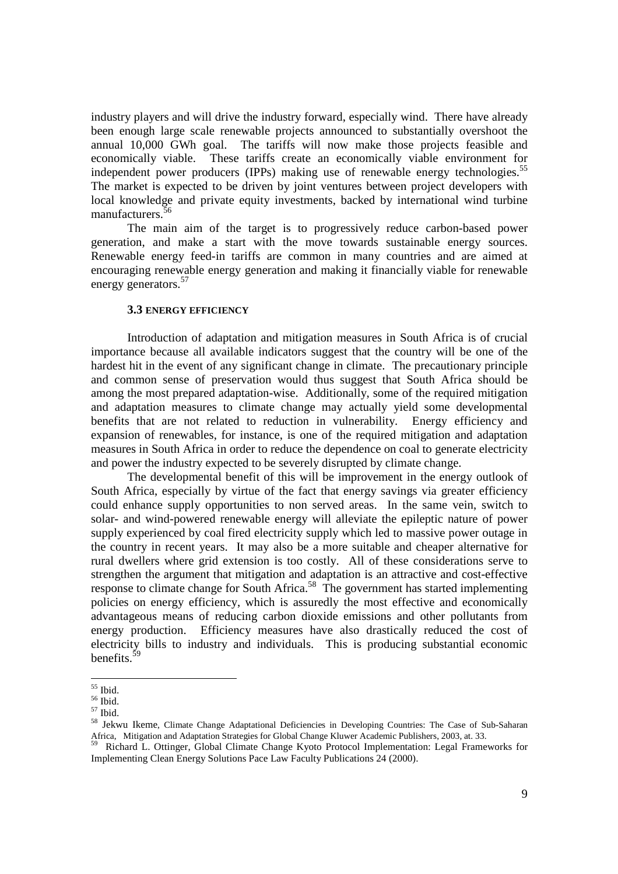industry players and will drive the industry forward, especially wind. There have already been enough large scale renewable projects announced to substantially overshoot the annual 10,000 GWh goal. The tariffs will now make those projects feasible and economically viable. These tariffs create an economically viable environment for independent power producers (IPPs) making use of renewable energy technologies.<sup>55</sup> The market is expected to be driven by joint ventures between project developers with local knowledge and private equity investments, backed by international wind turbine manufacturers.<sup>5</sup>

The main aim of the target is to progressively reduce carbon-based power generation, and make a start with the move towards sustainable energy sources. Renewable energy feed-in tariffs are common in many countries and are aimed at encouraging renewable energy generation and making it financially viable for renewable energy generators.<sup>57</sup>

### **3.3 ENERGY EFFICIENCY**

Introduction of adaptation and mitigation measures in South Africa is of crucial importance because all available indicators suggest that the country will be one of the hardest hit in the event of any significant change in climate. The precautionary principle and common sense of preservation would thus suggest that South Africa should be among the most prepared adaptation-wise. Additionally, some of the required mitigation and adaptation measures to climate change may actually yield some developmental benefits that are not related to reduction in vulnerability. Energy efficiency and expansion of renewables, for instance, is one of the required mitigation and adaptation measures in South Africa in order to reduce the dependence on coal to generate electricity and power the industry expected to be severely disrupted by climate change.

The developmental benefit of this will be improvement in the energy outlook of South Africa, especially by virtue of the fact that energy savings via greater efficiency could enhance supply opportunities to non served areas. In the same vein, switch to solar- and wind-powered renewable energy will alleviate the epileptic nature of power supply experienced by coal fired electricity supply which led to massive power outage in the country in recent years. It may also be a more suitable and cheaper alternative for rural dwellers where grid extension is too costly. All of these considerations serve to strengthen the argument that mitigation and adaptation is an attractive and cost-effective response to climate change for South Africa.<sup>58</sup> The government has started implementing policies on energy efficiency, which is assuredly the most effective and economically advantageous means of reducing carbon dioxide emissions and other pollutants from energy production. Efficiency measures have also drastically reduced the cost of electricity bills to industry and individuals. This is producing substantial economic benefits.<sup>59</sup>

<sup>55</sup> Ibid.

 $56$  Ibid.

<sup>57</sup> Ibid.

<sup>58</sup> Jekwu Ikeme, Climate Change Adaptational Deficiencies in Developing Countries: The Case of Sub-Saharan Africa, Mitigation and Adaptation Strategies for Global Change Kluwer Academic Publishers, 2003, at. 33.

<sup>&</sup>lt;sup>9</sup> Richard L. Ottinger, Global Climate Change Kyoto Protocol Implementation: Legal Frameworks for Implementing Clean Energy Solutions Pace Law Faculty Publications 24 (2000).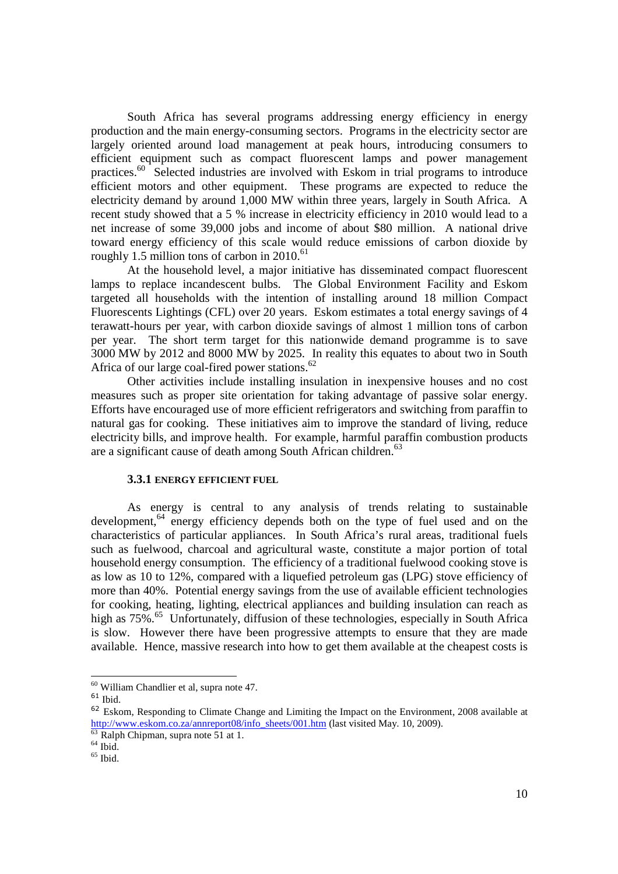South Africa has several programs addressing energy efficiency in energy production and the main energy-consuming sectors. Programs in the electricity sector are largely oriented around load management at peak hours, introducing consumers to efficient equipment such as compact fluorescent lamps and power management practices.<sup>60</sup> Selected industries are involved with Eskom in trial programs to introduce efficient motors and other equipment. These programs are expected to reduce the electricity demand by around 1,000 MW within three years, largely in South Africa. A recent study showed that a 5 % increase in electricity efficiency in 2010 would lead to a net increase of some 39,000 jobs and income of about \$80 million. A national drive toward energy efficiency of this scale would reduce emissions of carbon dioxide by roughly 1.5 million tons of carbon in  $2010$ .<sup>61</sup>

At the household level, a major initiative has disseminated compact fluorescent lamps to replace incandescent bulbs. The Global Environment Facility and Eskom targeted all households with the intention of installing around 18 million Compact Fluorescents Lightings (CFL) over 20 years. Eskom estimates a total energy savings of 4 terawatt-hours per year, with carbon dioxide savings of almost 1 million tons of carbon per year. The short term target for this nationwide demand programme is to save 3000 MW by 2012 and 8000 MW by 2025. In reality this equates to about two in South Africa of our large coal-fired power stations.<sup>62</sup>

Other activities include installing insulation in inexpensive houses and no cost measures such as proper site orientation for taking advantage of passive solar energy. Efforts have encouraged use of more efficient refrigerators and switching from paraffin to natural gas for cooking. These initiatives aim to improve the standard of living, reduce electricity bills, and improve health. For example, harmful paraffin combustion products are a significant cause of death among South African children.<sup>63</sup>

# **3.3.1 ENERGY EFFICIENT FUEL**

As energy is central to any analysis of trends relating to sustainable development,<sup>64</sup> energy efficiency depends both on the type of fuel used and on the characteristics of particular appliances. In South Africa's rural areas, traditional fuels such as fuelwood, charcoal and agricultural waste, constitute a major portion of total household energy consumption. The efficiency of a traditional fuelwood cooking stove is as low as 10 to 12%, compared with a liquefied petroleum gas (LPG) stove efficiency of more than 40%. Potential energy savings from the use of available efficient technologies for cooking, heating, lighting, electrical appliances and building insulation can reach as high as 75%.<sup>65</sup> Unfortunately, diffusion of these technologies, especially in South Africa is slow. However there have been progressive attempts to ensure that they are made available. Hence, massive research into how to get them available at the cheapest costs is

<sup>&</sup>lt;u>.</u>  $60$  William Chandlier et al, supra note 47.

 $61$  Ibid.

<sup>&</sup>lt;sup>62</sup> Eskom. Responding to Climate Change and Limiting the Impact on the Environment, 2008 available at http://www.eskom.co.za/annreport08/info\_sheets/001.htm (last visited May. 10, 2009).

 $\frac{63}{63}$  Ralph Chipman, supra note 51 at 1.

 $64$  Ibid.

 $65$  Ibid.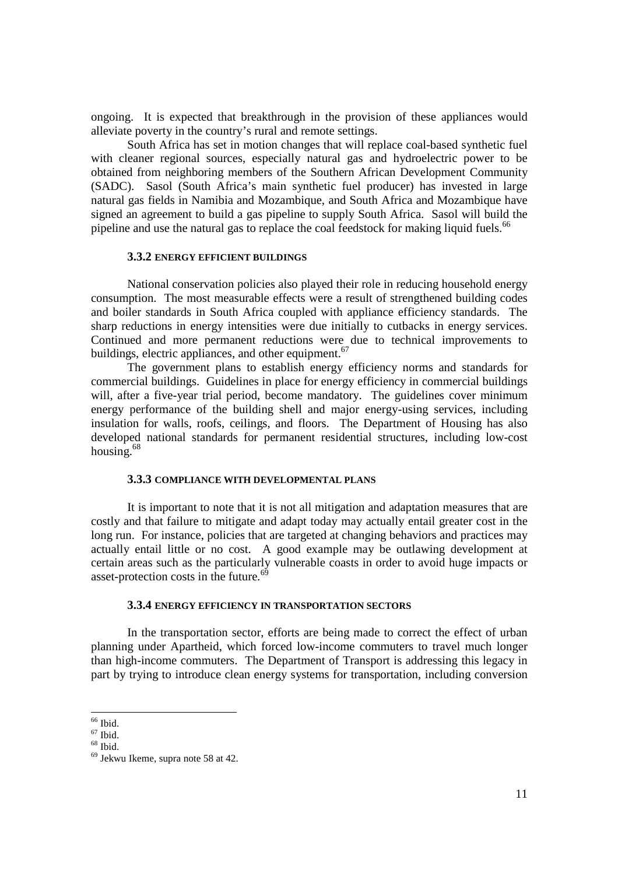ongoing. It is expected that breakthrough in the provision of these appliances would alleviate poverty in the country's rural and remote settings.

South Africa has set in motion changes that will replace coal-based synthetic fuel with cleaner regional sources, especially natural gas and hydroelectric power to be obtained from neighboring members of the Southern African Development Community (SADC). Sasol (South Africa's main synthetic fuel producer) has invested in large natural gas fields in Namibia and Mozambique, and South Africa and Mozambique have signed an agreement to build a gas pipeline to supply South Africa. Sasol will build the pipeline and use the natural gas to replace the coal feedstock for making liquid fuels.<sup>66</sup>

## **3.3.2 ENERGY EFFICIENT BUILDINGS**

National conservation policies also played their role in reducing household energy consumption. The most measurable effects were a result of strengthened building codes and boiler standards in South Africa coupled with appliance efficiency standards. The sharp reductions in energy intensities were due initially to cutbacks in energy services. Continued and more permanent reductions were due to technical improvements to buildings, electric appliances, and other equipment.<sup>67</sup>

The government plans to establish energy efficiency norms and standards for commercial buildings. Guidelines in place for energy efficiency in commercial buildings will, after a five-year trial period, become mandatory. The guidelines cover minimum energy performance of the building shell and major energy-using services, including insulation for walls, roofs, ceilings, and floors. The Department of Housing has also developed national standards for permanent residential structures, including low-cost housing. $68$ 

## **3.3.3 COMPLIANCE WITH DEVELOPMENTAL PLANS**

It is important to note that it is not all mitigation and adaptation measures that are costly and that failure to mitigate and adapt today may actually entail greater cost in the long run. For instance, policies that are targeted at changing behaviors and practices may actually entail little or no cost. A good example may be outlawing development at certain areas such as the particularly vulnerable coasts in order to avoid huge impacts or asset-protection costs in the future. $6<sup>6</sup>$ 

### **3.3.4 ENERGY EFFICIENCY IN TRANSPORTATION SECTORS**

In the transportation sector, efforts are being made to correct the effect of urban planning under Apartheid, which forced low-income commuters to travel much longer than high-income commuters. The Department of Transport is addressing this legacy in part by trying to introduce clean energy systems for transportation, including conversion

<sup>66</sup> Ibid.

 $67$  Ibid.  $68$  Ibid.

<sup>69</sup> Jekwu Ikeme, supra note 58 at 42.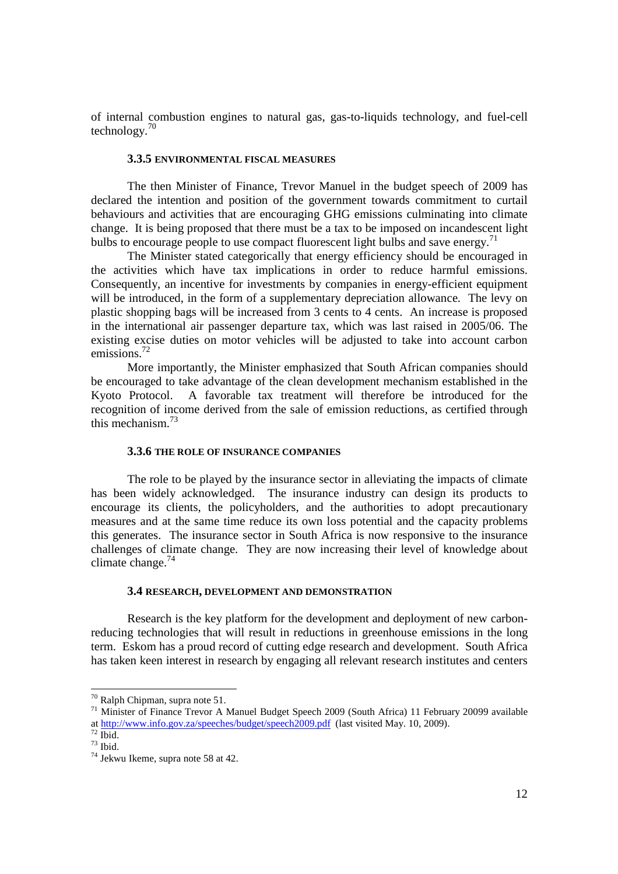of internal combustion engines to natural gas, gas-to-liquids technology, and fuel-cell technology. $70$ 

# **3.3.5 ENVIRONMENTAL FISCAL MEASURES**

The then Minister of Finance, Trevor Manuel in the budget speech of 2009 has declared the intention and position of the government towards commitment to curtail behaviours and activities that are encouraging GHG emissions culminating into climate change. It is being proposed that there must be a tax to be imposed on incandescent light bulbs to encourage people to use compact fluorescent light bulbs and save energy.<sup>71</sup>

The Minister stated categorically that energy efficiency should be encouraged in the activities which have tax implications in order to reduce harmful emissions. Consequently, an incentive for investments by companies in energy-efficient equipment will be introduced, in the form of a supplementary depreciation allowance. The levy on plastic shopping bags will be increased from 3 cents to 4 cents. An increase is proposed in the international air passenger departure tax, which was last raised in 2005/06. The existing excise duties on motor vehicles will be adjusted to take into account carbon emissions.<sup>72</sup>

More importantly, the Minister emphasized that South African companies should be encouraged to take advantage of the clean development mechanism established in the Kyoto Protocol. A favorable tax treatment will therefore be introduced for the recognition of income derived from the sale of emission reductions, as certified through this mechanism.<sup>73</sup>

## **3.3.6 THE ROLE OF INSURANCE COMPANIES**

The role to be played by the insurance sector in alleviating the impacts of climate has been widely acknowledged. The insurance industry can design its products to encourage its clients, the policyholders, and the authorities to adopt precautionary measures and at the same time reduce its own loss potential and the capacity problems this generates. The insurance sector in South Africa is now responsive to the insurance challenges of climate change. They are now increasing their level of knowledge about climate change. $74$ 

#### **3.4 RESEARCH, DEVELOPMENT AND DEMONSTRATION**

Research is the key platform for the development and deployment of new carbonreducing technologies that will result in reductions in greenhouse emissions in the long term. Eskom has a proud record of cutting edge research and development. South Africa has taken keen interest in research by engaging all relevant research institutes and centers

 $70$  Ralph Chipman, supra note 51.

<sup>71</sup> Minister of Finance Trevor A Manuel Budget Speech 2009 (South Africa) 11 February 20099 available at http://www.info.gov.za/speeches/budget/speech2009.pdf (last visited May. 10, 2009).

 $72$  Ibid.

 $73$  Ibid.

<sup>74</sup> Jekwu Ikeme, supra note 58 at 42.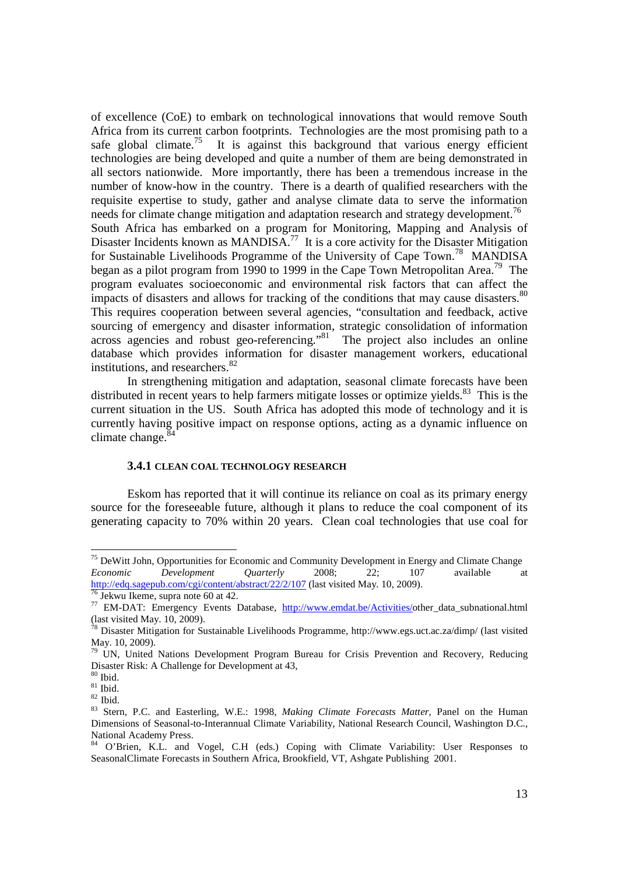of excellence (CoE) to embark on technological innovations that would remove South Africa from its current carbon footprints. Technologies are the most promising path to a safe global climate.<sup>75</sup> It is against this background that various energy efficient It is against this background that various energy efficient technologies are being developed and quite a number of them are being demonstrated in all sectors nationwide. More importantly, there has been a tremendous increase in the number of know-how in the country. There is a dearth of qualified researchers with the requisite expertise to study, gather and analyse climate data to serve the information needs for climate change mitigation and adaptation research and strategy development.<sup>76</sup> South Africa has embarked on a program for Monitoring, Mapping and Analysis of Disaster Incidents known as MANDISA.<sup>77</sup> It is a core activity for the Disaster Mitigation for Sustainable Livelihoods Programme of the University of Cape Town.<sup>78</sup> MANDISA began as a pilot program from 1990 to 1999 in the Cape Town Metropolitan Area.<sup>79</sup> The program evaluates socioeconomic and environmental risk factors that can affect the impacts of disasters and allows for tracking of the conditions that may cause disasters.<sup>80</sup> This requires cooperation between several agencies, "consultation and feedback, active sourcing of emergency and disaster information, strategic consolidation of information across agencies and robust geo-referencing."<sup>81</sup> The project also includes an online database which provides information for disaster management workers, educational institutions, and researchers.<sup>82</sup>

In strengthening mitigation and adaptation, seasonal climate forecasts have been distributed in recent years to help farmers mitigate losses or optimize yields. $83$  This is the current situation in the US. South Africa has adopted this mode of technology and it is currently having positive impact on response options, acting as a dynamic influence on climate change. $84$ 

## **3.4.1 CLEAN COAL TECHNOLOGY RESEARCH**

Eskom has reported that it will continue its reliance on coal as its primary energy source for the foreseeable future, although it plans to reduce the coal component of its generating capacity to 70% within 20 years. Clean coal technologies that use coal for

<sup>&</sup>lt;sup>75</sup> DeWitt John, Opportunities for Economic and Community Development in Energy and Climate Change *Economic Development Quarterly* 2008; 22; 107 available at http://edq.sagepub.com/cgi/content/abstract/22/2/107 (last visited May. 10, 2009).

 $<sup>5</sup>$  Jekwu Ikeme, supra note 60 at 42.</sup>

<sup>&</sup>lt;sup>77</sup> EM-DAT: Emergency Events Database, http://www.emdat.be/Activities/other\_data\_subnational.html (last visited May. 10, 2009).

<sup>&</sup>lt;sup>78</sup> Disaster Mitigation for Sustainable Livelihoods Programme, http://www.egs.uct.ac.za/dimp/ (last visited May. 10, 2009).

 $79$  UN, United Nations Development Program Bureau for Crisis Prevention and Recovery, Reducing Disaster Risk: A Challenge for Development at 43,

 $80$  Ibid.

 $81$  Ibid.

 $82$  Ibid.

<sup>83</sup> Stern, P.C. and Easterling, W.E.: 1998, *Making Climate Forecasts Matter*, Panel on the Human Dimensions of Seasonal-to-Interannual Climate Variability, National Research Council, Washington D.C., National Academy Press.

<sup>84</sup> O'Brien, K.L. and Vogel, C.H (eds.) Coping with Climate Variability: User Responses to SeasonalClimate Forecasts in Southern Africa, Brookfield, VT, Ashgate Publishing 2001.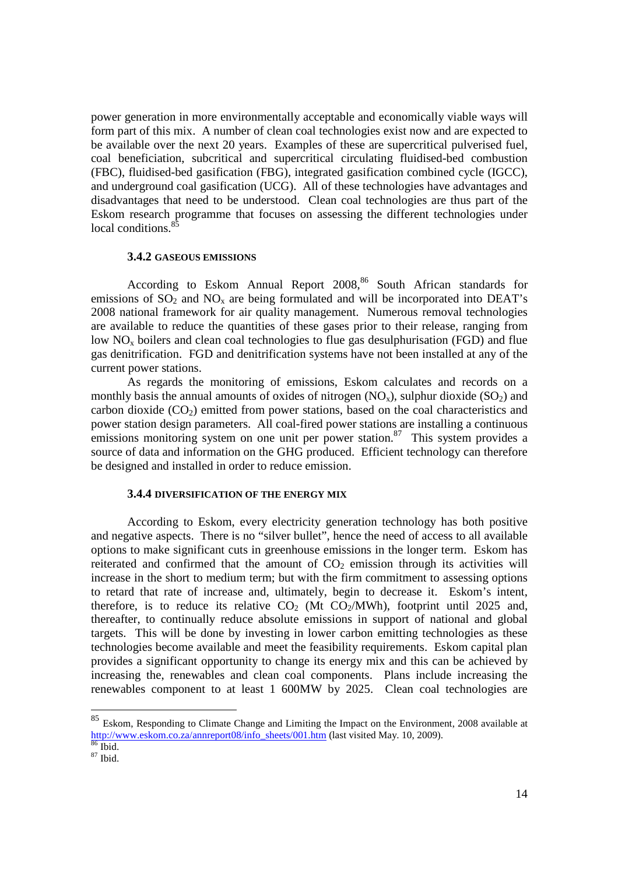power generation in more environmentally acceptable and economically viable ways will form part of this mix. A number of clean coal technologies exist now and are expected to be available over the next 20 years. Examples of these are supercritical pulverised fuel, coal beneficiation, subcritical and supercritical circulating fluidised-bed combustion (FBC), fluidised-bed gasification (FBG), integrated gasification combined cycle (IGCC), and underground coal gasification (UCG). All of these technologies have advantages and disadvantages that need to be understood. Clean coal technologies are thus part of the Eskom research programme that focuses on assessing the different technologies under local conditions.<sup>85</sup>

## **3.4.2 GASEOUS EMISSIONS**

According to Eskom Annual Report 2008,<sup>86</sup> South African standards for emissions of  $SO_2$  and  $NO_x$  are being formulated and will be incorporated into DEAT's 2008 national framework for air quality management. Numerous removal technologies are available to reduce the quantities of these gases prior to their release, ranging from low NO<sub>y</sub> boilers and clean coal technologies to flue gas desulphurisation (FGD) and flue gas denitrification. FGD and denitrification systems have not been installed at any of the current power stations.

As regards the monitoring of emissions, Eskom calculates and records on a monthly basis the annual amounts of oxides of nitrogen  $(NO_x)$ , sulphur dioxide  $(SO_2)$  and carbon dioxide  $(CO<sub>2</sub>)$  emitted from power stations, based on the coal characteristics and power station design parameters. All coal-fired power stations are installing a continuous emissions monitoring system on one unit per power station.<sup>87</sup> This system provides a source of data and information on the GHG produced. Efficient technology can therefore be designed and installed in order to reduce emission.

### **3.4.4 DIVERSIFICATION OF THE ENERGY MIX**

According to Eskom, every electricity generation technology has both positive and negative aspects. There is no "silver bullet", hence the need of access to all available options to make significant cuts in greenhouse emissions in the longer term. Eskom has reiterated and confirmed that the amount of  $CO<sub>2</sub>$  emission through its activities will increase in the short to medium term; but with the firm commitment to assessing options to retard that rate of increase and, ultimately, begin to decrease it. Eskom's intent, therefore, is to reduce its relative  $CO<sub>2</sub>$  (Mt  $CO<sub>2</sub>/MWh$ ), footprint until 2025 and, thereafter, to continually reduce absolute emissions in support of national and global targets. This will be done by investing in lower carbon emitting technologies as these technologies become available and meet the feasibility requirements. Eskom capital plan provides a significant opportunity to change its energy mix and this can be achieved by increasing the, renewables and clean coal components. Plans include increasing the renewables component to at least 1 600MW by 2025. Clean coal technologies are

<sup>85</sup> Eskom, Responding to Climate Change and Limiting the Impact on the Environment, 2008 available at http://www.eskom.co.za/annreport08/info\_sheets/001.htm (last visited May. 10, 2009).  $86$  Ibid.

<sup>87</sup> Ibid.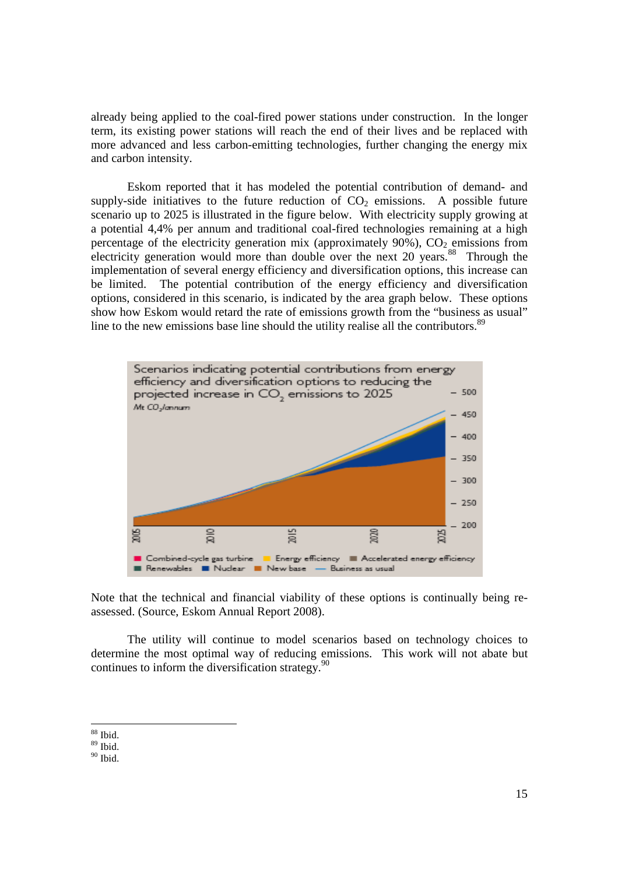already being applied to the coal-fired power stations under construction. In the longer term, its existing power stations will reach the end of their lives and be replaced with more advanced and less carbon-emitting technologies, further changing the energy mix and carbon intensity.

Eskom reported that it has modeled the potential contribution of demand- and supply-side initiatives to the future reduction of  $CO<sub>2</sub>$  emissions. A possible future scenario up to 2025 is illustrated in the figure below. With electricity supply growing at a potential 4,4% per annum and traditional coal-fired technologies remaining at a high percentage of the electricity generation mix (approximately  $90\%$ ),  $CO<sub>2</sub>$  emissions from electricity generation would more than double over the next  $20$  years.<sup>88</sup> Through the implementation of several energy efficiency and diversification options, this increase can be limited. The potential contribution of the energy efficiency and diversification options, considered in this scenario, is indicated by the area graph below. These options show how Eskom would retard the rate of emissions growth from the "business as usual" line to the new emissions base line should the utility realise all the contributors.<sup>89</sup>



Note that the technical and financial viability of these options is continually being reassessed. (Source, Eskom Annual Report 2008).

The utility will continue to model scenarios based on technology choices to determine the most optimal way of reducing emissions. This work will not abate but continues to inform the diversification strategy.<sup>90</sup>

 $90$  Ibid.

<sup>-</sup><sup>88</sup> Ibid.

 $89$  Ibid.